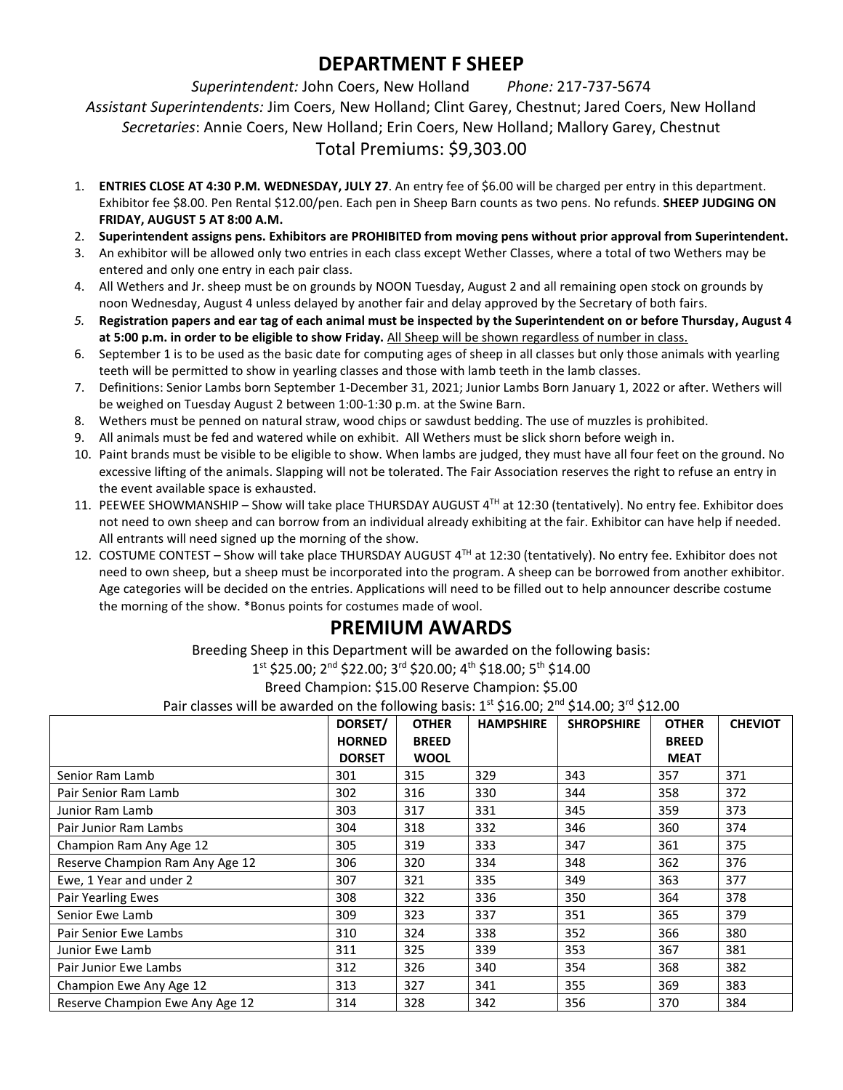## **DEPARTMENT F SHEEP**

*Superintendent:* John Coers, New Holland *Phone:* 217-737-5674 *Assistant Superintendents:* Jim Coers, New Holland; Clint Garey, Chestnut; Jared Coers, New Holland *Secretaries*: Annie Coers, New Holland; Erin Coers, New Holland; Mallory Garey, Chestnut Total Premiums: \$9,303.00

- 1. **ENTRIES CLOSE AT 4:30 P.M. WEDNESDAY, JULY 27**. An entry fee of \$6.00 will be charged per entry in this department. Exhibitor fee \$8.00. Pen Rental \$12.00/pen. Each pen in Sheep Barn counts as two pens. No refunds. **SHEEP JUDGING ON FRIDAY, AUGUST 5 AT 8:00 A.M.**
- 2. **Superintendent assigns pens. Exhibitors are PROHIBITED from moving pens without prior approval from Superintendent.**
- 3. An exhibitor will be allowed only two entries in each class except Wether Classes, where a total of two Wethers may be entered and only one entry in each pair class.
- 4. All Wethers and Jr. sheep must be on grounds by NOON Tuesday, August 2 and all remaining open stock on grounds by noon Wednesday, August 4 unless delayed by another fair and delay approved by the Secretary of both fairs.
- *5.* **Registration papers and ear tag of each animal must be inspected by the Superintendent on or before Thursday, August 4 at 5:00 p.m. in order to be eligible to show Friday.** All Sheep will be shown regardless of number in class.
- 6. September 1 is to be used as the basic date for computing ages of sheep in all classes but only those animals with yearling teeth will be permitted to show in yearling classes and those with lamb teeth in the lamb classes.
- 7. Definitions: Senior Lambs born September 1-December 31, 2021; Junior Lambs Born January 1, 2022 or after. Wethers will be weighed on Tuesday August 2 between 1:00-1:30 p.m. at the Swine Barn.
- 8. Wethers must be penned on natural straw, wood chips or sawdust bedding. The use of muzzles is prohibited.
- 9. All animals must be fed and watered while on exhibit. All Wethers must be slick shorn before weigh in.
- 10. Paint brands must be visible to be eligible to show. When lambs are judged, they must have all four feet on the ground. No excessive lifting of the animals. Slapping will not be tolerated. The Fair Association reserves the right to refuse an entry in the event available space is exhausted.
- 11. PEEWEE SHOWMANSHIP Show will take place THURSDAY AUGUST 4<sup>TH</sup> at 12:30 (tentatively). No entry fee. Exhibitor does not need to own sheep and can borrow from an individual already exhibiting at the fair. Exhibitor can have help if needed. All entrants will need signed up the morning of the show.
- 12. COSTUME CONTEST Show will take place THURSDAY AUGUST 4<sup>TH</sup> at 12:30 (tentatively). No entry fee. Exhibitor does not need to own sheep, but a sheep must be incorporated into the program. A sheep can be borrowed from another exhibitor. Age categories will be decided on the entries. Applications will need to be filled out to help announcer describe costume the morning of the show. \*Bonus points for costumes made of wool.

### **PREMIUM AWARDS**

Breeding Sheep in this Department will be awarded on the following basis:

1<sup>st</sup> \$25.00; 2<sup>nd</sup> \$22.00; 3<sup>rd</sup> \$20.00; 4<sup>th</sup> \$18.00; 5<sup>th</sup> \$14.00

Breed Champion: \$15.00 Reserve Champion: \$5.00

Pair classes will be awarded on the following basis: 1st \$16.00; 2nd \$14.00; 3rd \$12.00

| Pair classes will be awarded on the following basis. It S10.00, Z S14.00, S S12.00 |               |              |                  |                   |              |                |
|------------------------------------------------------------------------------------|---------------|--------------|------------------|-------------------|--------------|----------------|
|                                                                                    | DORSET/       | <b>OTHER</b> | <b>HAMPSHIRE</b> | <b>SHROPSHIRE</b> | <b>OTHER</b> | <b>CHEVIOT</b> |
|                                                                                    | <b>HORNED</b> | <b>BREED</b> |                  |                   | <b>BREED</b> |                |
|                                                                                    | <b>DORSET</b> | <b>WOOL</b>  |                  |                   | <b>MEAT</b>  |                |
| Senior Ram Lamb                                                                    | 301           | 315          | 329              | 343               | 357          | 371            |
| Pair Senior Ram Lamb                                                               | 302           | 316          | 330              | 344               | 358          | 372            |
| Junior Ram Lamb                                                                    | 303           | 317          | 331              | 345               | 359          | 373            |
| Pair Junior Ram Lambs                                                              | 304           | 318          | 332              | 346               | 360          | 374            |
| Champion Ram Any Age 12                                                            | 305           | 319          | 333              | 347               | 361          | 375            |
| Reserve Champion Ram Any Age 12                                                    | 306           | 320          | 334              | 348               | 362          | 376            |
| Ewe, 1 Year and under 2                                                            | 307           | 321          | 335              | 349               | 363          | 377            |
| Pair Yearling Ewes                                                                 | 308           | 322          | 336              | 350               | 364          | 378            |
| Senior Ewe Lamb                                                                    | 309           | 323          | 337              | 351               | 365          | 379            |
| Pair Senior Ewe Lambs                                                              | 310           | 324          | 338              | 352               | 366          | 380            |
| Junior Ewe Lamb                                                                    | 311           | 325          | 339              | 353               | 367          | 381            |
| Pair Junior Ewe Lambs                                                              | 312           | 326          | 340              | 354               | 368          | 382            |
| Champion Ewe Any Age 12                                                            | 313           | 327          | 341              | 355               | 369          | 383            |
| Reserve Champion Ewe Any Age 12                                                    | 314           | 328          | 342              | 356               | 370          | 384            |